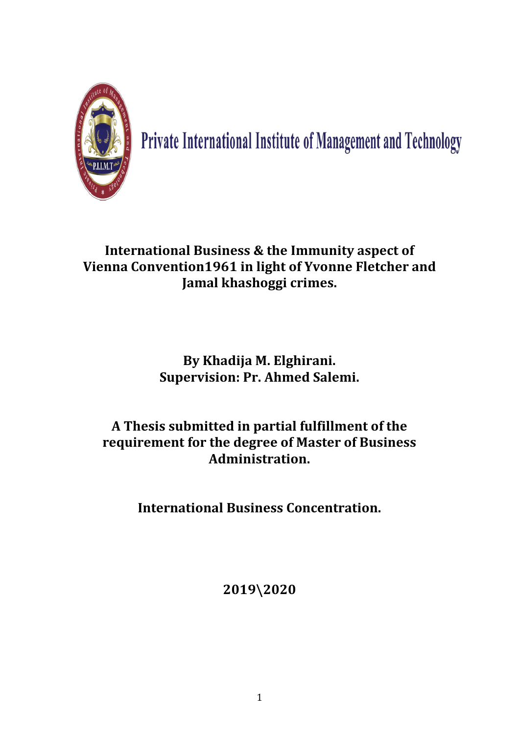

Private International Institute of Management and Technology

# **International Business & the Immunity aspect of Vienna Convention1961 in light of Yvonne Fletcher and Jamal khashoggi crimes.**

# **By Khadija M. Elghirani. Supervision: Pr. Ahmed Salemi.**

# **A Thesis submitted in partial fulfillment of the requirement for the degree of Master of Business Administration.**

**International Business Concentration.**

**2019\2020**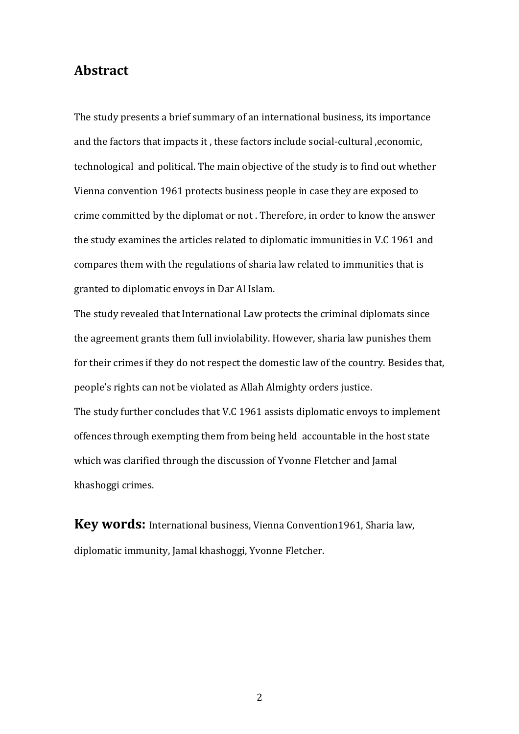# **Abstract**

The study presents a brief summary of an international business, its importance and the factors that impacts it , these factors include social-cultural ,economic, technological and political. The main objective of the study is to find out whether Vienna convention 1961 protects business people in case they are exposed to crime committed by the diplomat or not . Therefore, in order to know the answer the study examines the articles related to diplomatic immunities in V.C 1961 and compares them with the regulations of sharia law related to immunities that is granted to diplomatic envoys in Dar Al Islam.

The study revealed that International Law protects the criminal diplomats since the agreement grants them full inviolability. However, sharia law punishes them for their crimes if they do not respect the domestic law of the country. Besides that, people's rights can not be violated as Allah Almighty orders justice. The study further concludes that V.C 1961 assists diplomatic envoys to implement offences through exempting them from being held accountable in the host state which was clarified through the discussion of Yvonne Fletcher and Jamal khashoggi crimes.

**Key words:** International business, Vienna Convention1961, Sharia law, diplomatic immunity, Jamal khashoggi, Yvonne Fletcher.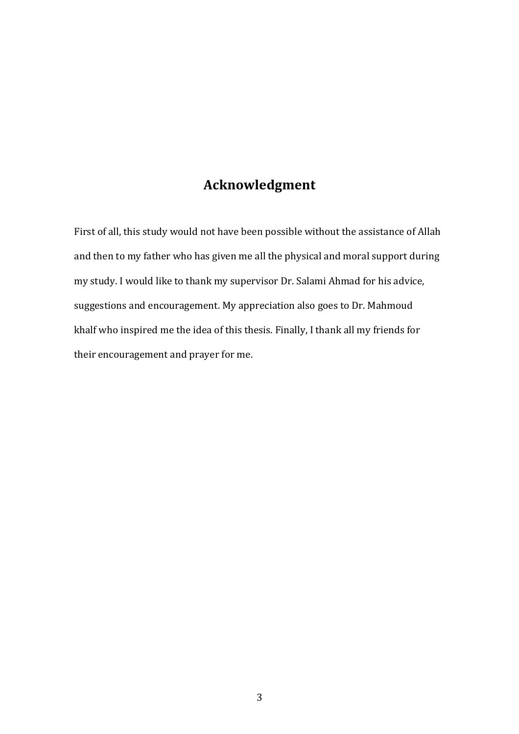# **Acknowledgment**

First of all, this study would not have been possible without the assistance of Allah and then to my father who has given me all the physical and moral support during my study. I would like to thank my supervisor Dr. Salami Ahmad for his advice, suggestions and encouragement. My appreciation also goes to Dr. Mahmoud khalf who inspired me the idea of this thesis. Finally, I thank all my friends for their encouragement and prayer for me.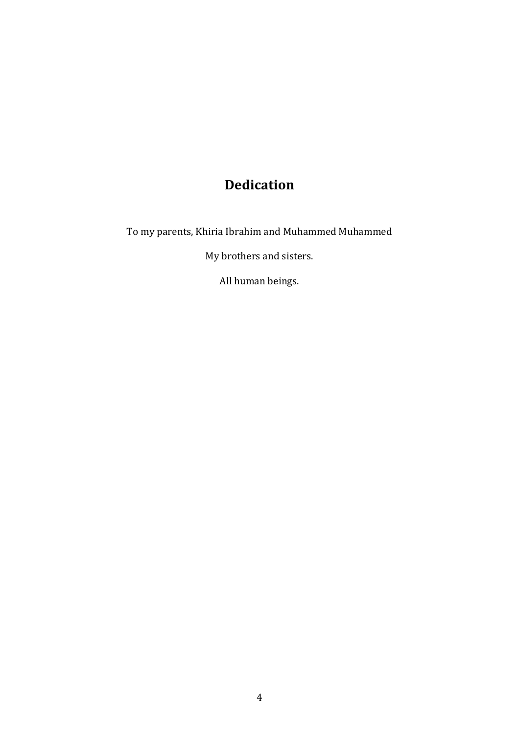# **Dedication**

To my parents, Khiria Ibrahim and Muhammed Muhammed

My brothers and sisters.

All human beings.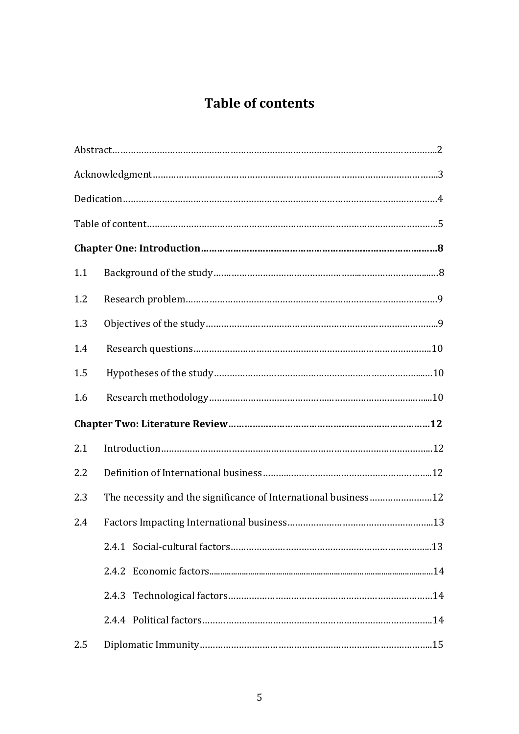# **Table of contents**

| 1.1 |                                                                |  |
|-----|----------------------------------------------------------------|--|
| 1.2 |                                                                |  |
| 1.3 |                                                                |  |
| 1.4 |                                                                |  |
| 1.5 |                                                                |  |
| 1.6 |                                                                |  |
|     |                                                                |  |
| 2.1 |                                                                |  |
| 2.2 |                                                                |  |
| 2.3 | The necessity and the significance of International business12 |  |
| 2.4 |                                                                |  |
|     |                                                                |  |
|     |                                                                |  |
|     |                                                                |  |
|     |                                                                |  |
| 2.5 |                                                                |  |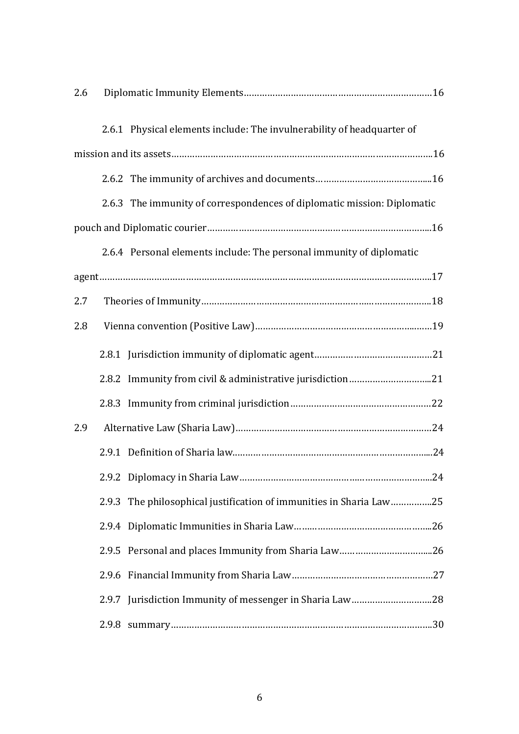| 2.6 |       |                                                                         |  |  |  |  |
|-----|-------|-------------------------------------------------------------------------|--|--|--|--|
|     |       | 2.6.1 Physical elements include: The invulnerability of headquarter of  |  |  |  |  |
|     |       |                                                                         |  |  |  |  |
|     |       |                                                                         |  |  |  |  |
|     |       | 2.6.3 The immunity of correspondences of diplomatic mission: Diplomatic |  |  |  |  |
|     |       |                                                                         |  |  |  |  |
|     |       | 2.6.4 Personal elements include: The personal immunity of diplomatic    |  |  |  |  |
|     |       |                                                                         |  |  |  |  |
| 2.7 |       |                                                                         |  |  |  |  |
| 2.8 |       |                                                                         |  |  |  |  |
|     |       |                                                                         |  |  |  |  |
|     |       |                                                                         |  |  |  |  |
|     |       |                                                                         |  |  |  |  |
| 2.9 |       |                                                                         |  |  |  |  |
|     |       |                                                                         |  |  |  |  |
|     |       |                                                                         |  |  |  |  |
|     |       | 2.9.3 The philosophical justification of immunities in Sharia Law25     |  |  |  |  |
|     |       |                                                                         |  |  |  |  |
|     |       |                                                                         |  |  |  |  |
|     |       |                                                                         |  |  |  |  |
|     |       |                                                                         |  |  |  |  |
|     | 2.9.8 |                                                                         |  |  |  |  |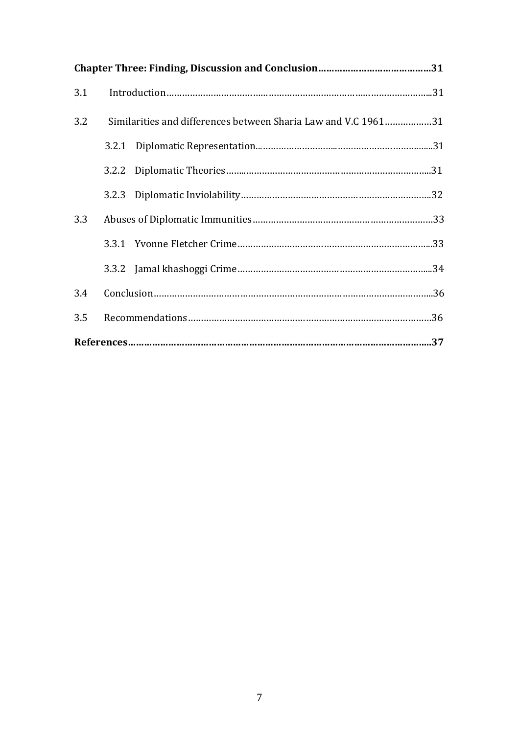| 3.1 |                                                                |  |  |  |  |
|-----|----------------------------------------------------------------|--|--|--|--|
| 3.2 | Similarities and differences between Sharia Law and V.C 196131 |  |  |  |  |
|     |                                                                |  |  |  |  |
|     |                                                                |  |  |  |  |
|     |                                                                |  |  |  |  |
| 3.3 |                                                                |  |  |  |  |
|     |                                                                |  |  |  |  |
|     |                                                                |  |  |  |  |
| 3.4 |                                                                |  |  |  |  |
| 3.5 |                                                                |  |  |  |  |
|     |                                                                |  |  |  |  |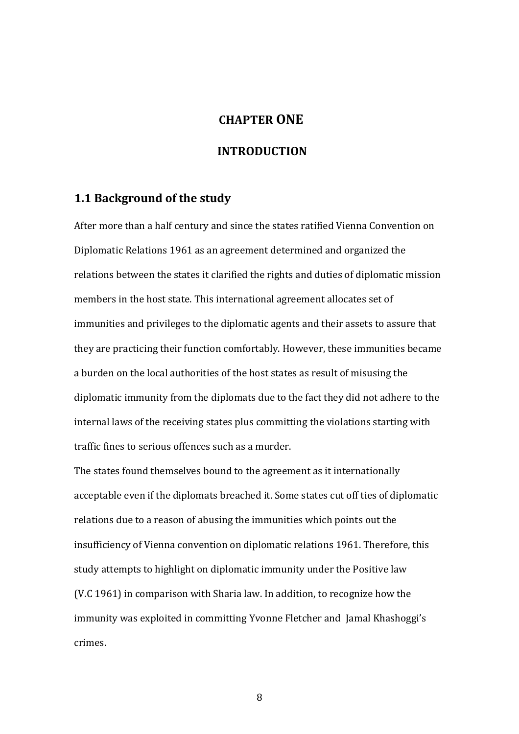# **CHAPTER ONE**

# **INTRODUCTION**

#### **1.1 Background of the study**

After more than a half century and since the states ratified Vienna Convention on Diplomatic Relations 1961 as an agreement determined and organized the relations between the states it clarified the rights and duties of diplomatic mission members in the host state. This international agreement allocates set of immunities and privileges to the diplomatic agents and their assets to assure that they are practicing their function comfortably. However, these immunities became a burden on the local authorities of the host states as result of misusing the diplomatic immunity from the diplomats due to the fact they did not adhere to the internal laws of the receiving states plus committing the violations starting with traffic fines to serious offences such as a murder.

The states found themselves bound to the agreement as it internationally acceptable even if the diplomats breached it. Some states cut off ties of diplomatic relations due to a reason of abusing the immunities which points out the insufficiency of Vienna convention on diplomatic relations 1961. Therefore, this study attempts to highlight on diplomatic immunity under the Positive law (V.C 1961) in comparison with Sharia law. In addition, to recognize how the immunity was exploited in committing Yvonne Fletcher and Jamal Khashoggi's crimes.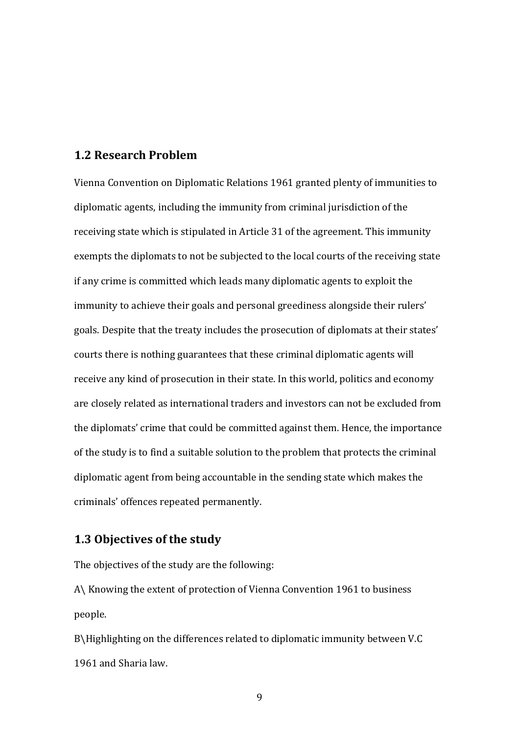### **1.2 Research Problem**

Vienna Convention on Diplomatic Relations 1961 granted plenty of immunities to diplomatic agents, including the immunity from criminal jurisdiction of the receiving state which is stipulated in Article 31 of the agreement. This immunity exempts the diplomats to not be subjected to the local courts of the receiving state if any crime is committed which leads many diplomatic agents to exploit the immunity to achieve their goals and personal greediness alongside their rulers' goals. Despite that the treaty includes the prosecution of diplomats at their states' courts there is nothing guarantees that these criminal diplomatic agents will receive any kind of prosecution in their state. In this world, politics and economy are closely related as international traders and investors can not be excluded from the diplomats' crime that could be committed against them. Hence, the importance of the study is to find a suitable solution to the problem that protects the criminal diplomatic agent from being accountable in the sending state which makes the criminals' offences repeated permanently.

# **1.3 Objectives of the study**

The objectives of the study are the following:

A\ Knowing the extent of protection of Vienna Convention 1961 to business people.

B\Highlighting on the differences related to diplomatic immunity between V.C 1961 and Sharia law.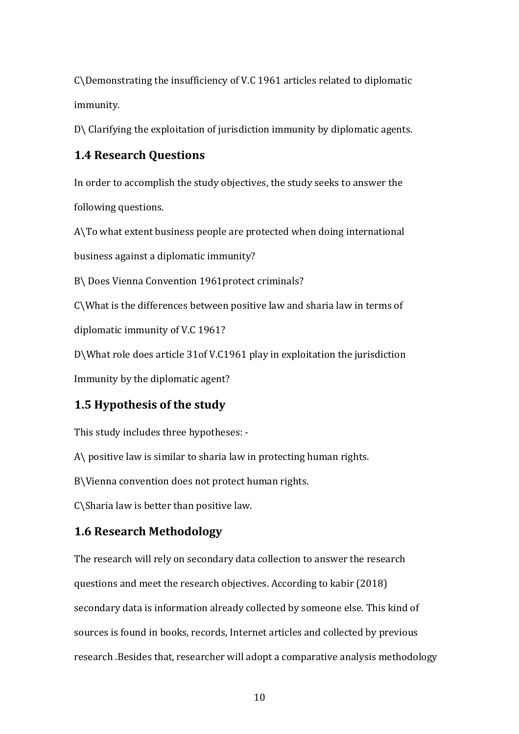C\Demonstrating the insufficiency of V.C 1961 articles related to diplomatic immunity.

D\ Clarifying the exploitation of jurisdiction immunity by diplomatic agents.

# **1.4 Research Questions**

In order to accomplish the study objectives, the study seeks to answer the following questions.

A\To what extent business people are protected when doing international business against a diplomatic immunity?

B\ Does Vienna Convention 1961protect criminals?

C\What is the differences between positive law and sharia law in terms of

diplomatic immunity of V.C 1961?

D\What role does article 31of V.C1961 play in exploitation the jurisdiction

Immunity by the diplomatic agent?

# **1.5 Hypothesis of the study**

This study includes three hypotheses: -

A\ positive law is similar to sharia law in protecting human rights.

B\Vienna convention does not protect human rights.

C\Sharia law is better than positive law.

# **1.6 Research Methodology**

The research will rely on secondary data collection to answer the research questions and meet the research objectives. According to kabir (2018) secondary data is information already collected by someone else. This kind of sources is found in books, records, Internet articles and collected by previous research .Besides that, researcher will adopt a comparative analysis methodology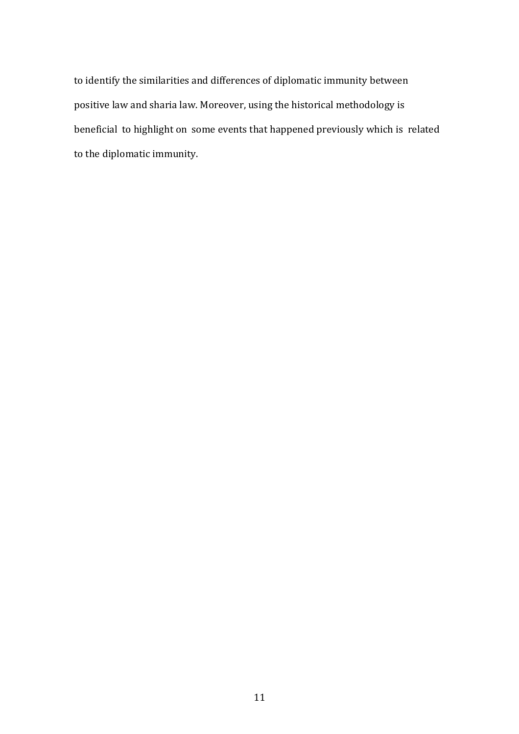to identify the similarities and differences of diplomatic immunity between positive law and sharia law. Moreover, using the historical methodology is beneficial to highlight on some events that happened previously which is related to the diplomatic immunity.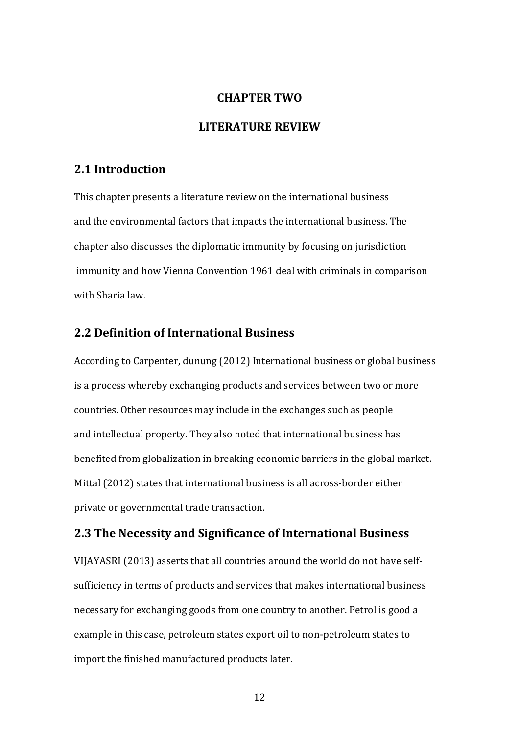#### **CHAPTER TWO**

# **LITERATURE REVIEW**

## **2.1 Introduction**

This chapter presents a literature review on the international business and the environmental factors that impacts the international business. The chapter also discusses the diplomatic immunity by focusing on jurisdiction immunity and how Vienna Convention 1961 deal with criminals in comparison with Sharia law.

# **2.2 Definition of International Business**

According to Carpenter, dunung (2012) International business or global business is a process whereby exchanging products and services between two or more countries. Other resources may include in the exchanges such as people and intellectual property. They also noted that international business has benefited from globalization in breaking economic barriers in the global market. Mittal (2012) states that international business is all across-border either private or governmental trade transaction.

### **2.3 The Necessity and Significance of International Business**

VIJAYASRI (2013) asserts that all countries around the world do not have selfsufficiency in terms of products and services that makes international business necessary for exchanging goods from one country to another. Petrol is good a example in this case, petroleum states export oil to non-petroleum states to import the finished manufactured products later.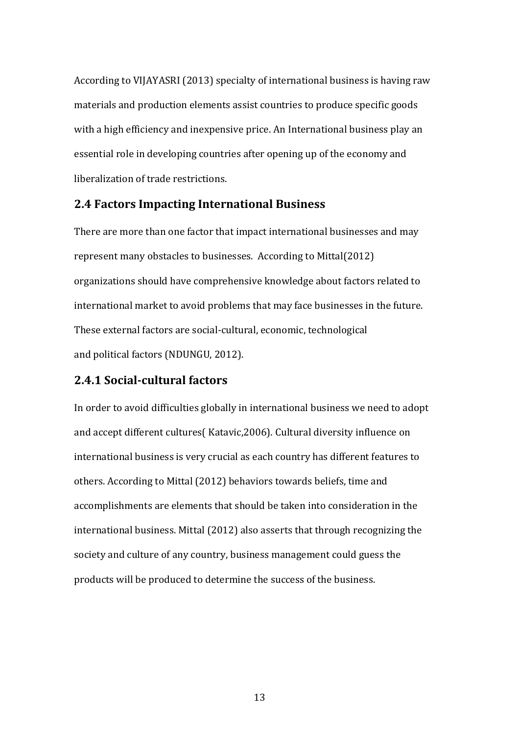According to VIJAYASRI (2013) specialty of international business is having raw materials and production elements assist countries to produce specific goods with a high efficiency and inexpensive price. An International business play an essential role in developing countries after opening up of the economy and liberalization of trade restrictions.

#### **2.4 Factors Impacting International Business**

There are more than one factor that impact international businesses and may represent many obstacles to businesses. According to Mittal(2012) organizations should have comprehensive knowledge about factors related to international market to avoid problems that may face businesses in the future. These external factors are social-cultural, economic, technological and political factors (NDUNGU, 2012).

# **2.4.1 Social-cultural factors**

In order to avoid difficulties globally in international business we need to adopt and accept different cultures( Katavic,2006). Cultural diversity influence on international business is very crucial as each country has different features to others. According to Mittal (2012) behaviors towards beliefs, time and accomplishments are elements that should be taken into consideration in the international business. Mittal (2012) also asserts that through recognizing the society and culture of any country, business management could guess the products will be produced to determine the success of the business.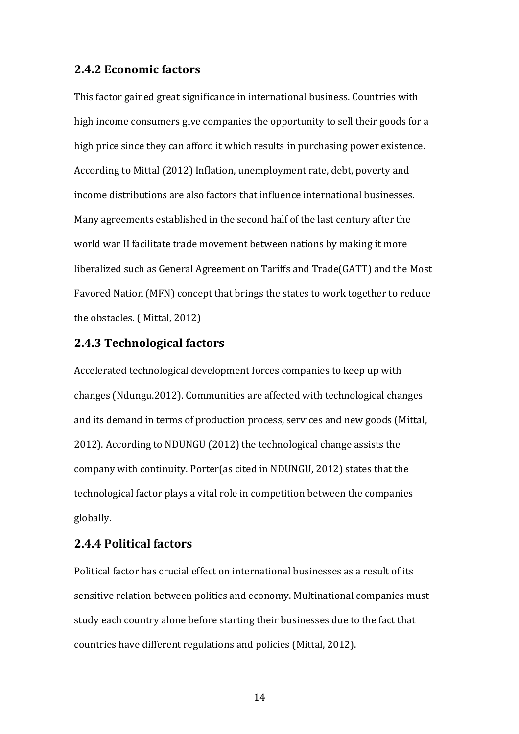### **2.4.2 Economic factors**

This factor gained great significance in international business. Countries with high income consumers give companies the opportunity to sell their goods for a high price since they can afford it which results in purchasing power existence. According to Mittal (2012) Inflation, unemployment rate, debt, poverty and income distributions are also factors that influence international businesses. Many agreements established in the second half of the last century after the world war II facilitate trade movement between nations by making it more liberalized such as General Agreement on Tariffs and Trade(GATT) and the Most Favored Nation (MFN) concept that brings the states to work together to reduce the obstacles. ( Mittal, 2012)

## **2.4.3 Technological factors**

Accelerated technological development forces companies to keep up with changes (Ndungu.2012). Communities are affected with technological changes and its demand in terms of production process, services and new goods (Mittal, 2012). According to NDUNGU (2012) the technological change assists the company with continuity. Porter(as cited in NDUNGU, 2012) states that the technological factor plays a vital role in competition between the companies globally.

# **2.4.4 Political factors**

Political factor has crucial effect on international businesses as a result of its sensitive relation between politics and economy. Multinational companies must study each country alone before starting their businesses due to the fact that countries have different regulations and policies (Mittal, 2012).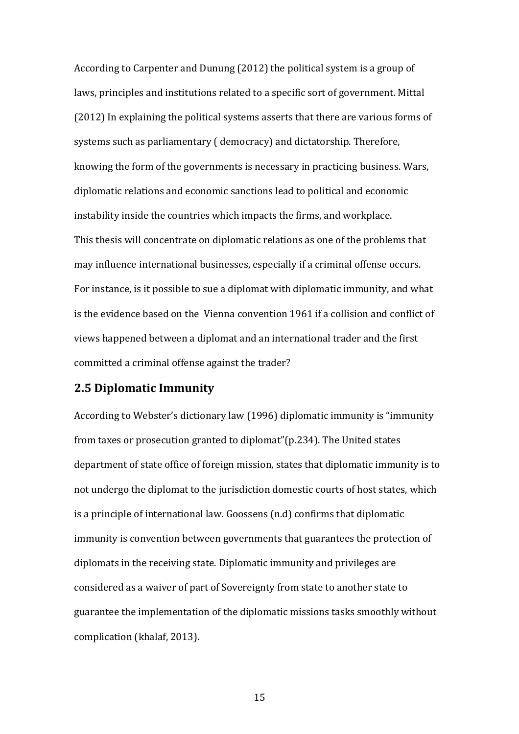According to Carpenter and Dunung (2012) the political system is a group of laws, principles and institutions related to a specific sort of government. Mittal (2012) In explaining the political systems asserts that there are various forms of systems such as parliamentary ( democracy) and dictatorship. Therefore, knowing the form of the governments is necessary in practicing business. Wars, diplomatic relations and economic sanctions lead to political and economic instability inside the countries which impacts the firms, and workplace. This thesis will concentrate on diplomatic relations as one of the problems that may influence international businesses, especially if a criminal offense occurs. For instance, is it possible to sue a diplomat with diplomatic immunity, and what is the evidence based on the Vienna convention 1961 if a collision and conflict of views happened between a diplomat and an international trader and the first committed a criminal offense against the trader?

# **2.5 Diplomatic Immunity**

According to Webster's dictionary law (1996) diplomatic immunity is "immunity from taxes or prosecution granted to diplomat"(p.234). The United states department of state office of foreign mission, states that diplomatic immunity is to not undergo the diplomat to the jurisdiction domestic courts of host states, which is a principle of international law. Goossens (n.d) confirms that diplomatic immunity is convention between governments that guarantees the protection of diplomats in the receiving state. Diplomatic immunity and privileges are considered as a waiver of part of Sovereignty from state to another state to guarantee the implementation of the diplomatic missions tasks smoothly without complication (khalaf, 2013).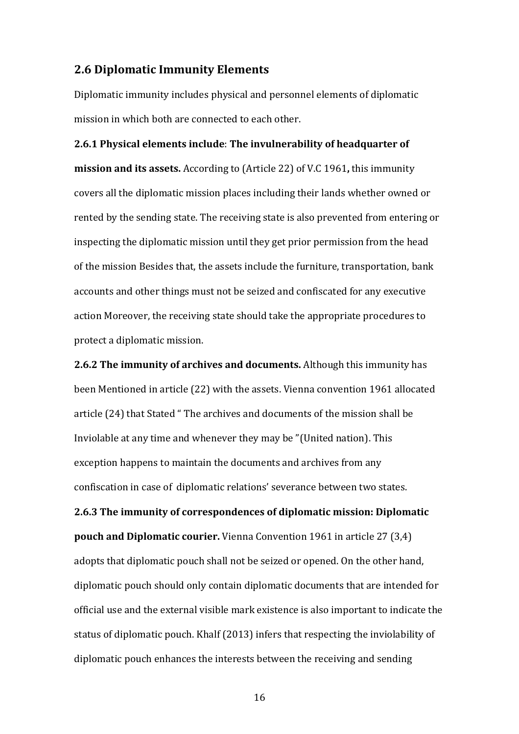#### **2.6 Diplomatic Immunity Elements**

Diplomatic immunity includes physical and personnel elements of diplomatic mission in which both are connected to each other.

**2.6.1 Physical elements include**: **The invulnerability of headquarter of mission and its assets.** According to (Article 22) of V.C 1961**,** this immunity covers all the diplomatic mission places including their lands whether owned or rented by the sending state. The receiving state is also prevented from entering or inspecting the diplomatic mission until they get prior permission from the head of the mission Besides that, the assets include the furniture, transportation, bank accounts and other things must not be seized and confiscated for any executive action Moreover, the receiving state should take the appropriate procedures to protect a diplomatic mission.

**2.6.2 The immunity of archives and documents.** Although this immunity has been Mentioned in article (22) with the assets. Vienna convention 1961 allocated article (24) that Stated " The archives and documents of the mission shall be Inviolable at any time and whenever they may be "(United nation). This exception happens to maintain the documents and archives from any confiscation in case of diplomatic relations' severance between two states.

**2.6.3 The immunity of correspondences of diplomatic mission: Diplomatic pouch and Diplomatic courier.** Vienna Convention 1961 in article 27 (3,4) adopts that diplomatic pouch shall not be seized or opened. On the other hand, diplomatic pouch should only contain diplomatic documents that are intended for official use and the external visible mark existence is also important to indicate the status of diplomatic pouch. Khalf (2013) infers that respecting the inviolability of diplomatic pouch enhances the interests between the receiving and sending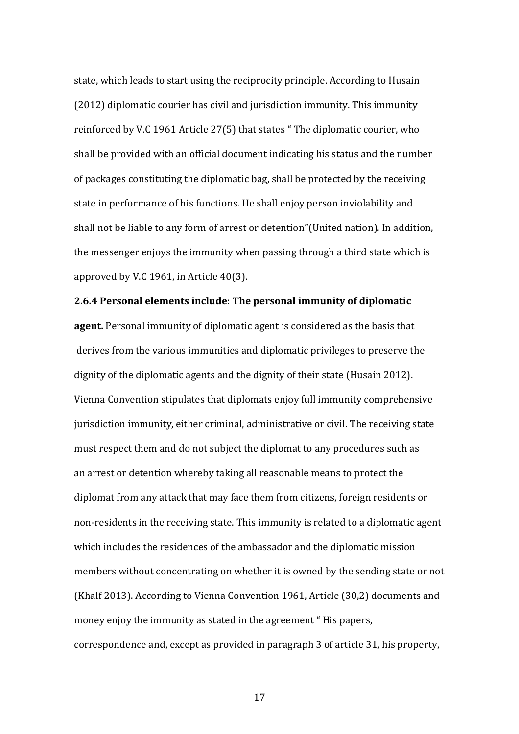state, which leads to start using the reciprocity principle. According to Husain (2012) diplomatic courier has civil and jurisdiction immunity. This immunity reinforced by V.C 1961 Article 27(5) that states " The diplomatic courier, who shall be provided with an official document indicating his status and the number of packages constituting the diplomatic bag, shall be protected by the receiving state in performance of his functions. He shall enjoy person inviolability and shall not be liable to any form of arrest or detention"(United nation). In addition, the messenger enjoys the immunity when passing through a third state which is approved by V.C 1961, in Article 40(3).

# **2.6.4 Personal elements include**: **The personal immunity of diplomatic**

**agent.** Personal immunity of diplomatic agent is considered as the basis that derives from the various immunities and diplomatic privileges to preserve the dignity of the diplomatic agents and the dignity of their state (Husain 2012). Vienna Convention stipulates that diplomats enjoy full immunity comprehensive jurisdiction immunity, either criminal, administrative or civil. The receiving state must respect them and do not subject the diplomat to any procedures such as an arrest or detention whereby taking all reasonable means to protect the diplomat from any attack that may face them from citizens, foreign residents or non-residents in the receiving state. This immunity is related to a diplomatic agent which includes the residences of the ambassador and the diplomatic mission members without concentrating on whether it is owned by the sending state or not (Khalf 2013). According to Vienna Convention 1961, Article (30,2) documents and money enjoy the immunity as stated in the agreement " His papers, correspondence and, except as provided in paragraph 3 of article 31, his property,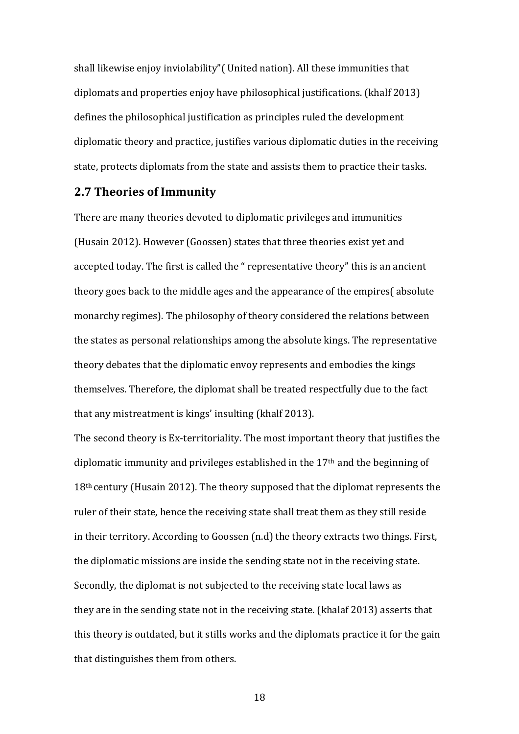shall likewise enjoy inviolability"( United nation). All these immunities that diplomats and properties enjoy have philosophical justifications. (khalf 2013) defines the philosophical justification as principles ruled the development diplomatic theory and practice, justifies various diplomatic duties in the receiving state, protects diplomats from the state and assists them to practice their tasks.

#### **2.7 Theories of Immunity**

There are many theories devoted to diplomatic privileges and immunities (Husain 2012). However (Goossen) states that three theories exist yet and accepted today. The first is called the " representative theory" this is an ancient theory goes back to the middle ages and the appearance of the empires( absolute monarchy regimes). The philosophy of theory considered the relations between the states as personal relationships among the absolute kings. The representative theory debates that the diplomatic envoy represents and embodies the kings themselves. Therefore, the diplomat shall be treated respectfully due to the fact that any mistreatment is kings' insulting (khalf 2013).

The second theory is Ex-territoriality. The most important theory that justifies the diplomatic immunity and privileges established in the 17th and the beginning of 18th century (Husain 2012). The theory supposed that the diplomat represents the ruler of their state, hence the receiving state shall treat them as they still reside in their territory. According to Goossen (n.d) the theory extracts two things. First, the diplomatic missions are inside the sending state not in the receiving state. Secondly, the diplomat is not subjected to the receiving state local laws as they are in the sending state not in the receiving state. (khalaf 2013) asserts that this theory is outdated, but it stills works and the diplomats practice it for the gain that distinguishes them from others.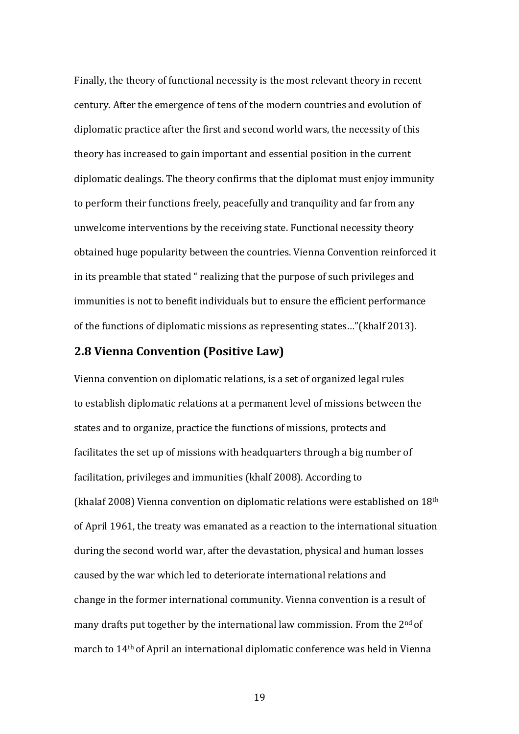Finally, the theory of functional necessity is the most relevant theory in recent century. After the emergence of tens of the modern countries and evolution of diplomatic practice after the first and second world wars, the necessity of this theory has increased to gain important and essential position in the current diplomatic dealings. The theory confirms that the diplomat must enjoy immunity to perform their functions freely, peacefully and tranquility and far from any unwelcome interventions by the receiving state. Functional necessity theory obtained huge popularity between the countries. Vienna Convention reinforced it in its preamble that stated " realizing that the purpose of such privileges and immunities is not to benefit individuals but to ensure the efficient performance of the functions of diplomatic missions as representing states…"(khalf 2013).

#### **2.8 Vienna Convention (Positive Law)**

Vienna convention on diplomatic relations, is a set of organized legal rules to establish diplomatic relations at a permanent level of missions between the states and to organize, practice the functions of missions, protects and facilitates the set up of missions with headquarters through a big number of facilitation, privileges and immunities (khalf 2008). According to (khalaf 2008) Vienna convention on diplomatic relations were established on 18th of April 1961, the treaty was emanated as a reaction to the international situation during the second world war, after the devastation, physical and human losses caused by the war which led to deteriorate international relations and change in the former international community. Vienna convention is a result of many drafts put together by the international law commission. From the  $2<sup>nd</sup>$  of march to 14th of April an international diplomatic conference was held in Vienna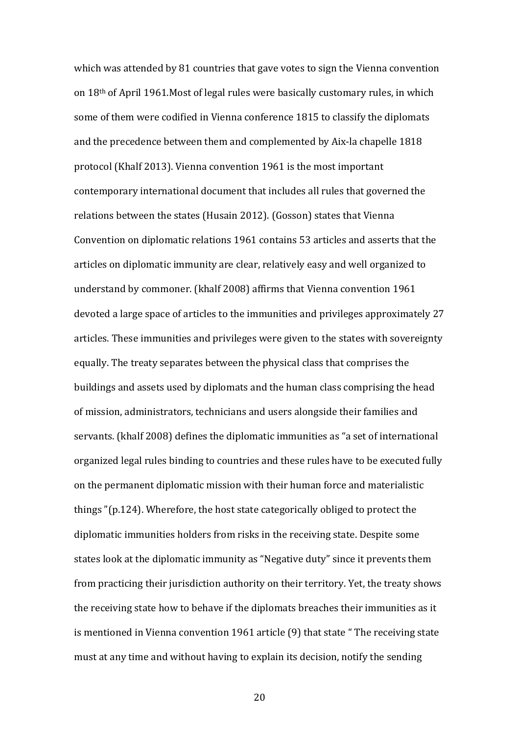which was attended by 81 countries that gave votes to sign the Vienna convention on 18th of April 1961.Most of legal rules were basically customary rules, in which some of them were codified in Vienna conference 1815 to classify the diplomats and the precedence between them and complemented by Aix-la chapelle 1818 protocol (Khalf 2013). Vienna convention 1961 is the most important contemporary international document that includes all rules that governed the relations between the states (Husain 2012). (Gosson) states that Vienna Convention on diplomatic relations 1961 contains 53 articles and asserts that the articles on diplomatic immunity are clear, relatively easy and well organized to understand by commoner. (khalf 2008) affirms that Vienna convention 1961 devoted a large space of articles to the immunities and privileges approximately 27 articles. These immunities and privileges were given to the states with sovereignty equally. The treaty separates between the physical class that comprises the buildings and assets used by diplomats and the human class comprising the head of mission, administrators, technicians and users alongside their families and servants. (khalf 2008) defines the diplomatic immunities as "a set of international organized legal rules binding to countries and these rules have to be executed fully on the permanent diplomatic mission with their human force and materialistic things "(p.124). Wherefore, the host state categorically obliged to protect the diplomatic immunities holders from risks in the receiving state. Despite some states look at the diplomatic immunity as "Negative duty" since it prevents them from practicing their jurisdiction authority on their territory. Yet, the treaty shows the receiving state how to behave if the diplomats breaches their immunities as it is mentioned in Vienna convention 1961 article (9) that state " The receiving state must at any time and without having to explain its decision, notify the sending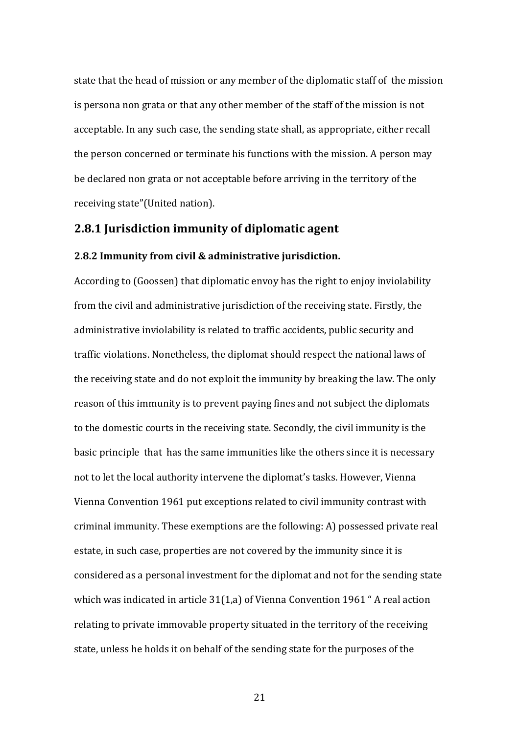state that the head of mission or any member of the diplomatic staff of the mission is persona non grata or that any other member of the staff of the mission is not acceptable. In any such case, the sending state shall, as appropriate, either recall the person concerned or terminate his functions with the mission. A person may be declared non grata or not acceptable before arriving in the territory of the receiving state"(United nation).

## **2.8.1 Jurisdiction immunity of diplomatic agent**

#### **2.8.2 Immunity from civil & administrative jurisdiction.**

According to (Goossen) that diplomatic envoy has the right to enjoy inviolability from the civil and administrative jurisdiction of the receiving state. Firstly, the administrative inviolability is related to traffic accidents, public security and traffic violations. Nonetheless, the diplomat should respect the national laws of the receiving state and do not exploit the immunity by breaking the law. The only reason of this immunity is to prevent paying fines and not subject the diplomats to the domestic courts in the receiving state. Secondly, the civil immunity is the basic principle that has the same immunities like the others since it is necessary not to let the local authority intervene the diplomat's tasks. However, Vienna Vienna Convention 1961 put exceptions related to civil immunity contrast with criminal immunity. These exemptions are the following: A) possessed private real estate, in such case, properties are not covered by the immunity since it is considered as a personal investment for the diplomat and not for the sending state which was indicated in article 31(1,a) of Vienna Convention 1961 " A real action relating to private immovable property situated in the territory of the receiving state, unless he holds it on behalf of the sending state for the purposes of the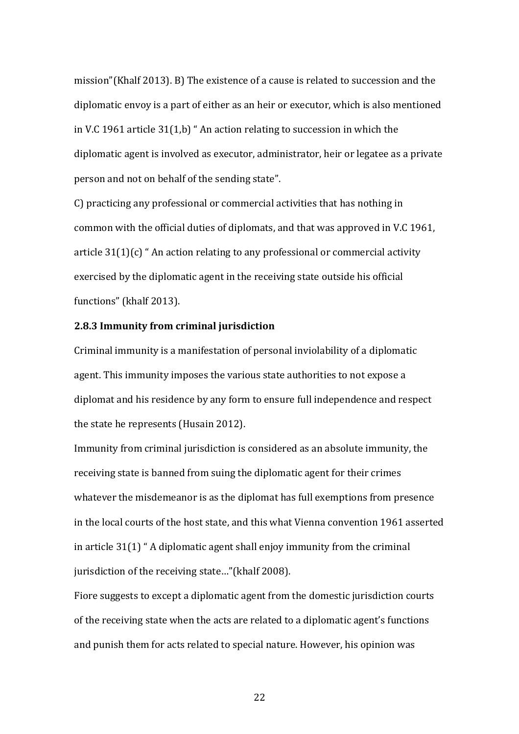mission"(Khalf 2013). B) The existence of a cause is related to succession and the diplomatic envoy is a part of either as an heir or executor, which is also mentioned in V.C 1961 article 31(1,b) " An action relating to succession in which the diplomatic agent is involved as executor, administrator, heir or legatee as a private person and not on behalf of the sending state".

C) practicing any professional or commercial activities that has nothing in common with the official duties of diplomats, and that was approved in V.C 1961, article 31(1)(c) " An action relating to any professional or commercial activity exercised by the diplomatic agent in the receiving state outside his official functions" (khalf 2013).

#### **2.8.3 Immunity from criminal jurisdiction**

Criminal immunity is a manifestation of personal inviolability of a diplomatic agent. This immunity imposes the various state authorities to not expose a diplomat and his residence by any form to ensure full independence and respect the state he represents (Husain 2012).

Immunity from criminal jurisdiction is considered as an absolute immunity, the receiving state is banned from suing the diplomatic agent for their crimes whatever the misdemeanor is as the diplomat has full exemptions from presence in the local courts of the host state, and this what Vienna convention 1961 asserted in article 31(1) " A diplomatic agent shall enjoy immunity from the criminal jurisdiction of the receiving state…"(khalf 2008).

Fiore suggests to except a diplomatic agent from the domestic jurisdiction courts of the receiving state when the acts are related to a diplomatic agent's functions and punish them for acts related to special nature. However, his opinion was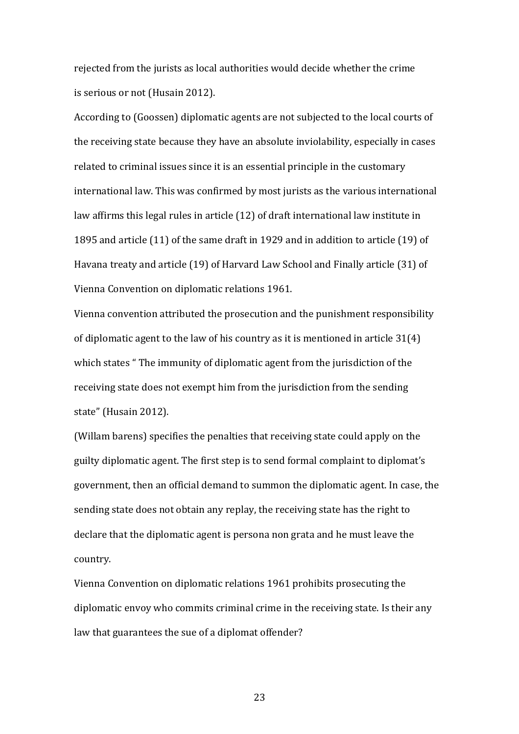rejected from the jurists as local authorities would decide whether the crime is serious or not (Husain 2012).

According to (Goossen) diplomatic agents are not subjected to the local courts of the receiving state because they have an absolute inviolability, especially in cases related to criminal issues since it is an essential principle in the customary international law. This was confirmed by most jurists as the various international law affirms this legal rules in article (12) of draft international law institute in 1895 and article (11) of the same draft in 1929 and in addition to article (19) of Havana treaty and article (19) of Harvard Law School and Finally article (31) of Vienna Convention on diplomatic relations 1961.

Vienna convention attributed the prosecution and the punishment responsibility of diplomatic agent to the law of his country as it is mentioned in article 31(4) which states " The immunity of diplomatic agent from the jurisdiction of the receiving state does not exempt him from the jurisdiction from the sending state" (Husain 2012).

(Willam barens) specifies the penalties that receiving state could apply on the guilty diplomatic agent. The first step is to send formal complaint to diplomat's government, then an official demand to summon the diplomatic agent. In case, the sending state does not obtain any replay, the receiving state has the right to declare that the diplomatic agent is persona non grata and he must leave the country.

Vienna Convention on diplomatic relations 1961 prohibits prosecuting the diplomatic envoy who commits criminal crime in the receiving state. Is their any law that guarantees the sue of a diplomat offender?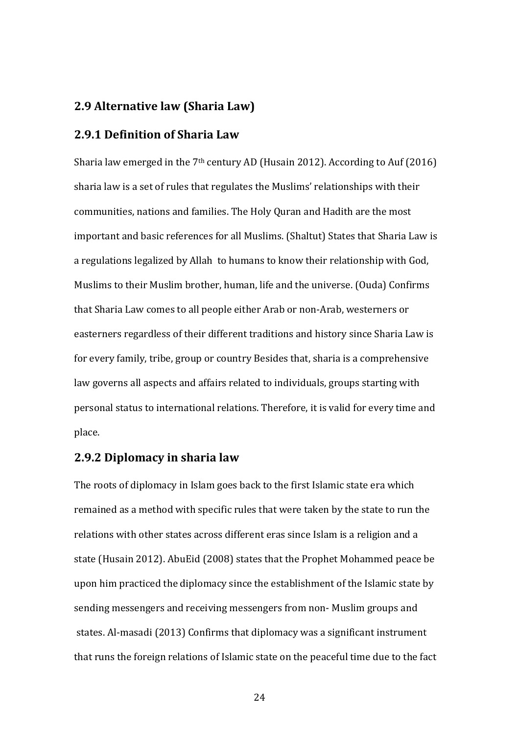# **2.9 Alternative law (Sharia Law)**

# **2.9.1 Definition of Sharia Law**

Sharia law emerged in the 7<sup>th</sup> century AD (Husain 2012). According to Auf (2016) sharia law is a set of rules that regulates the Muslims' relationships with their communities, nations and families. The Holy Quran and Hadith are the most important and basic references for all Muslims. (Shaltut) States that Sharia Law is a regulations legalized by Allah to humans to know their relationship with God, Muslims to their Muslim brother, human, life and the universe. (Ouda) Confirms that Sharia Law comes to all people either Arab or non-Arab, westerners or easterners regardless of their different traditions and history since Sharia Law is for every family, tribe, group or country Besides that, sharia is a comprehensive law governs all aspects and affairs related to individuals, groups starting with personal status to international relations. Therefore, it is valid for every time and place.

# **2.9.2 Diplomacy in sharia law**

The roots of diplomacy in Islam goes back to the first Islamic state era which remained as a method with specific rules that were taken by the state to run the relations with other states across different eras since Islam is a religion and a state (Husain 2012). AbuEid (2008) states that the Prophet Mohammed peace be upon him practiced the diplomacy since the establishment of the Islamic state by sending messengers and receiving messengers from non- Muslim groups and states. Al-masadi (2013) Confirms that diplomacy was a significant instrument that runs the foreign relations of Islamic state on the peaceful time due to the fact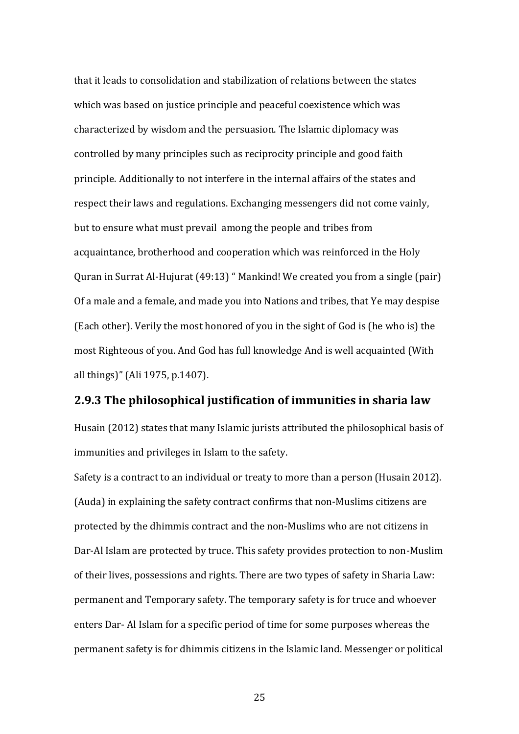that it leads to consolidation and stabilization of relations between the states which was based on justice principle and peaceful coexistence which was characterized by wisdom and the persuasion. The Islamic diplomacy was controlled by many principles such as reciprocity principle and good faith principle. Additionally to not interfere in the internal affairs of the states and respect their laws and regulations. Exchanging messengers did not come vainly, but to ensure what must prevail among the people and tribes from acquaintance, brotherhood and cooperation which was reinforced in the Holy Quran in Surrat Al-Hujurat (49:13) " Mankind! We created you from a single (pair) Of a male and a female, and made you into Nations and tribes, that Ye may despise (Each other). Verily the most honored of you in the sight of God is (he who is) the most Righteous of you. And God has full knowledge And is well acquainted (With all things)" (Ali 1975, p.1407).

#### **2.9.3 The philosophical justification of immunities in sharia law**

Husain (2012) states that many Islamic jurists attributed the philosophical basis of immunities and privileges in Islam to the safety.

Safety is a contract to an individual or treaty to more than a person (Husain 2012). (Auda) in explaining the safety contract confirms that non-Muslims citizens are protected by the dhimmis contract and the non-Muslims who are not citizens in Dar-Al Islam are protected by truce. This safety provides protection to non-Muslim of their lives, possessions and rights. There are two types of safety in Sharia Law: permanent and Temporary safety. The temporary safety is for truce and whoever enters Dar- Al Islam for a specific period of time for some purposes whereas the permanent safety is for dhimmis citizens in the Islamic land. Messenger or political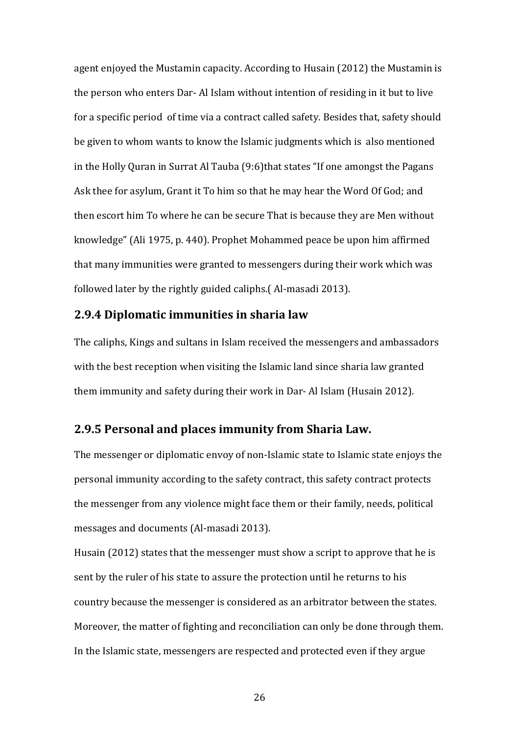agent enjoyed the Mustamin capacity. According to Husain (2012) the Mustamin is the person who enters Dar- Al Islam without intention of residing in it but to live for a specific period of time via a contract called safety. Besides that, safety should be given to whom wants to know the Islamic judgments which is also mentioned in the Holly Quran in Surrat Al Tauba (9:6)that states "If one amongst the Pagans Ask thee for asylum, Grant it To him so that he may hear the Word Of God; and then escort him To where he can be secure That is because they are Men without knowledge" (Ali 1975, p. 440). Prophet Mohammed peace be upon him affirmed that many immunities were granted to messengers during their work which was followed later by the rightly guided caliphs.( Al-masadi 2013).

#### **2.9.4 Diplomatic immunities in sharia law**

The caliphs, Kings and sultans in Islam received the messengers and ambassadors with the best reception when visiting the Islamic land since sharia law granted them immunity and safety during their work in Dar- Al Islam (Husain 2012).

### **2.9.5 Personal and places immunity from Sharia Law.**

The messenger or diplomatic envoy of non-Islamic state to Islamic state enjoys the personal immunity according to the safety contract, this safety contract protects the messenger from any violence might face them or their family, needs, political messages and documents (Al-masadi 2013).

Husain (2012) states that the messenger must show a script to approve that he is sent by the ruler of his state to assure the protection until he returns to his country because the messenger is considered as an arbitrator between the states. Moreover, the matter of fighting and reconciliation can only be done through them. In the Islamic state, messengers are respected and protected even if they argue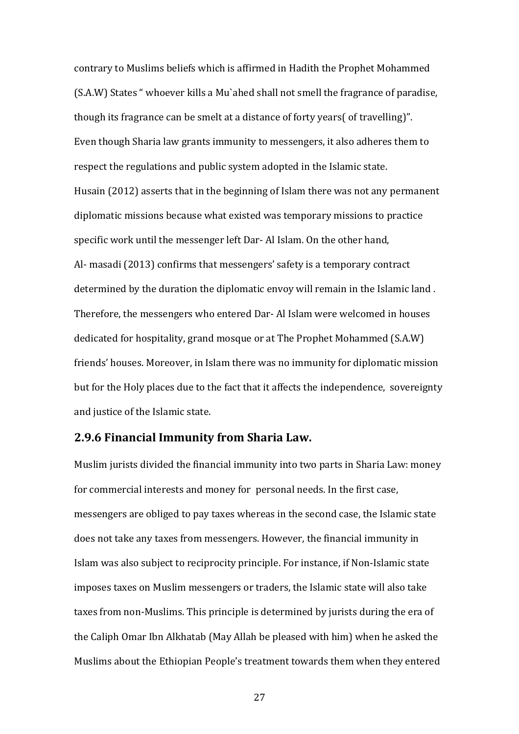contrary to Muslims beliefs which is affirmed in Hadith the Prophet Mohammed (S.A.W) States " whoever kills a Mu`ahed shall not smell the fragrance of paradise, though its fragrance can be smelt at a distance of forty years( of travelling)". Even though Sharia law grants immunity to messengers, it also adheres them to respect the regulations and public system adopted in the Islamic state. Husain (2012) asserts that in the beginning of Islam there was not any permanent diplomatic missions because what existed was temporary missions to practice specific work until the messenger left Dar- Al Islam. On the other hand, Al- masadi (2013) confirms that messengers' safety is a temporary contract determined by the duration the diplomatic envoy will remain in the Islamic land . Therefore, the messengers who entered Dar- Al Islam were welcomed in houses dedicated for hospitality, grand mosque or at The Prophet Mohammed (S.A.W) friends' houses. Moreover, in Islam there was no immunity for diplomatic mission but for the Holy places due to the fact that it affects the independence, sovereignty and justice of the Islamic state.

# **2.9.6 Financial Immunity from Sharia Law.**

Muslim jurists divided the financial immunity into two parts in Sharia Law: money for commercial interests and money for personal needs. In the first case, messengers are obliged to pay taxes whereas in the second case, the Islamic state does not take any taxes from messengers. However, the financial immunity in Islam was also subject to reciprocity principle. For instance, if Non-Islamic state imposes taxes on Muslim messengers or traders, the Islamic state will also take taxes from non-Muslims. This principle is determined by jurists during the era of the Caliph Omar Ibn Alkhatab (May Allah be pleased with him) when he asked the Muslims about the Ethiopian People's treatment towards them when they entered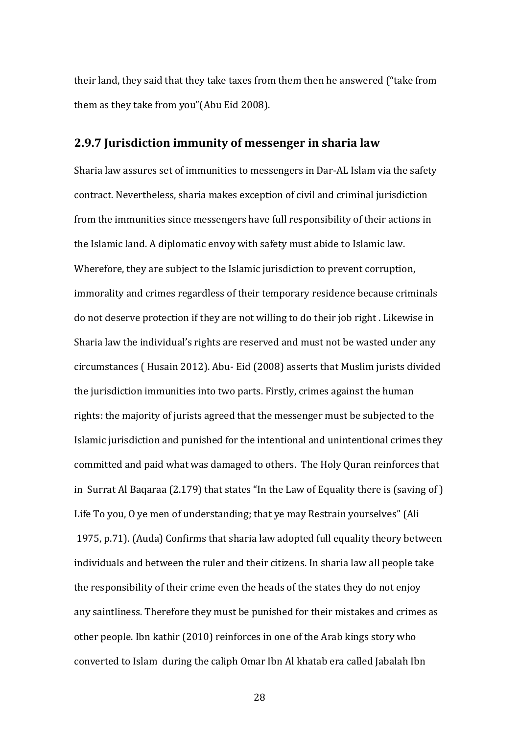their land, they said that they take taxes from them then he answered ("take from them as they take from you"(Abu Eid 2008).

#### **2.9.7 Jurisdiction immunity of messenger in sharia law**

Sharia law assures set of immunities to messengers in Dar-AL Islam via the safety contract. Nevertheless, sharia makes exception of civil and criminal jurisdiction from the immunities since messengers have full responsibility of their actions in the Islamic land. A diplomatic envoy with safety must abide to Islamic law. Wherefore, they are subject to the Islamic jurisdiction to prevent corruption, immorality and crimes regardless of their temporary residence because criminals do not deserve protection if they are not willing to do their job right . Likewise in Sharia law the individual's rights are reserved and must not be wasted under any circumstances ( Husain 2012). Abu- Eid (2008) asserts that Muslim jurists divided the jurisdiction immunities into two parts. Firstly, crimes against the human rights: the majority of jurists agreed that the messenger must be subjected to the Islamic jurisdiction and punished for the intentional and unintentional crimes they committed and paid what was damaged to others. The Holy Quran reinforces that in Surrat Al Baqaraa (2.179) that states "In the Law of Equality there is (saving of ) Life To you, O ye men of understanding; that ye may Restrain yourselves" (Ali 1975, p.71). (Auda) Confirms that sharia law adopted full equality theory between individuals and between the ruler and their citizens. In sharia law all people take the responsibility of their crime even the heads of the states they do not enjoy any saintliness. Therefore they must be punished for their mistakes and crimes as other people. Ibn kathir (2010) reinforces in one of the Arab kings story who converted to Islam during the caliph Omar Ibn Al khatab era called Jabalah Ibn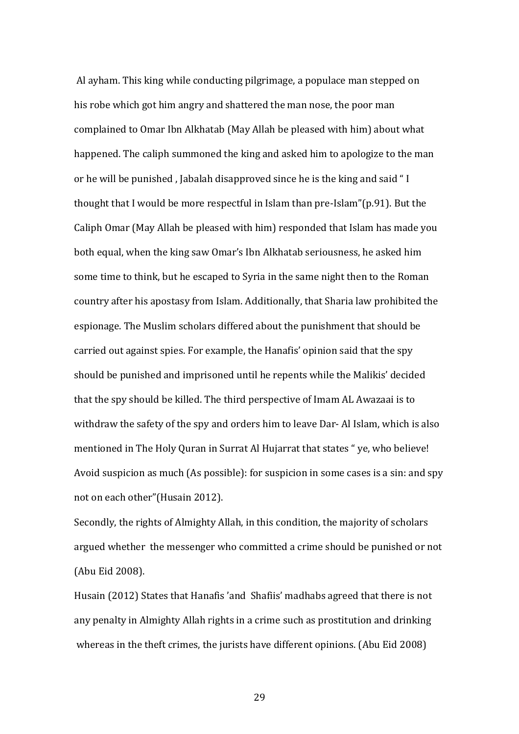Al ayham. This king while conducting pilgrimage, a populace man stepped on his robe which got him angry and shattered the man nose, the poor man complained to Omar Ibn Alkhatab (May Allah be pleased with him) about what happened. The caliph summoned the king and asked him to apologize to the man or he will be punished , Jabalah disapproved since he is the king and said " I thought that I would be more respectful in Islam than pre-Islam"(p.91). But the Caliph Omar (May Allah be pleased with him) responded that Islam has made you both equal, when the king saw Omar's Ibn Alkhatab seriousness, he asked him some time to think, but he escaped to Syria in the same night then to the Roman country after his apostasy from Islam. Additionally, that Sharia law prohibited the espionage. The Muslim scholars differed about the punishment that should be carried out against spies. For example, the Hanafis' opinion said that the spy should be punished and imprisoned until he repents while the Malikis' decided that the spy should be killed. The third perspective of Imam AL Awazaai is to withdraw the safety of the spy and orders him to leave Dar- Al Islam, which is also mentioned in The Holy Quran in Surrat Al Hujarrat that states " ye, who believe! Avoid suspicion as much (As possible): for suspicion in some cases is a sin: and spy not on each other"(Husain 2012).

Secondly, the rights of Almighty Allah, in this condition, the majority of scholars argued whether the messenger who committed a crime should be punished or not (Abu Eid 2008).

Husain (2012) States that Hanafis 'and Shafiis' madhabs agreed that there is not any penalty in Almighty Allah rights in a crime such as prostitution and drinking whereas in the theft crimes, the jurists have different opinions. (Abu Eid 2008)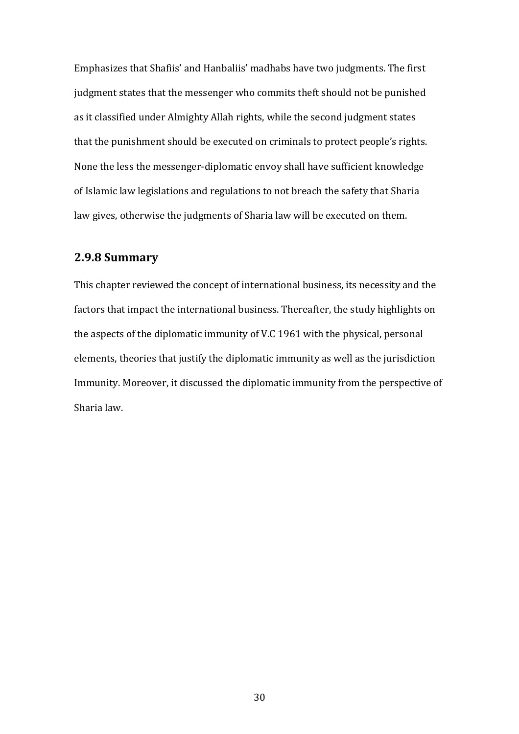Emphasizes that Shafiis' and Hanbaliis' madhabs have two judgments. The first judgment states that the messenger who commits theft should not be punished as it classified under Almighty Allah rights, while the second judgment states that the punishment should be executed on criminals to protect people's rights. None the less the messenger-diplomatic envoy shall have sufficient knowledge of Islamic law legislations and regulations to not breach the safety that Sharia law gives, otherwise the judgments of Sharia law will be executed on them.

### **2.9.8 Summary**

This chapter reviewed the concept of international business, its necessity and the factors that impact the international business. Thereafter, the study highlights on the aspects of the diplomatic immunity of V.C 1961 with the physical, personal elements, theories that justify the diplomatic immunity as well as the jurisdiction Immunity. Moreover, it discussed the diplomatic immunity from the perspective of Sharia law.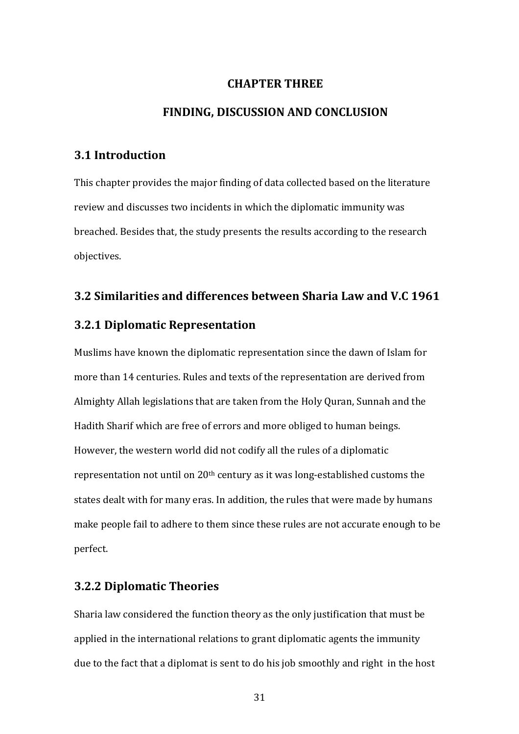# **CHAPTER THREE**

#### **FINDING, DISCUSSION AND CONCLUSION**

### **3.1 Introduction**

This chapter provides the major finding of data collected based on the literature review and discusses two incidents in which the diplomatic immunity was breached. Besides that, the study presents the results according to the research objectives.

# **3.2 Similarities and differences between Sharia Law and V.C 1961**

#### **3.2.1 Diplomatic Representation**

Muslims have known the diplomatic representation since the dawn of Islam for more than 14 centuries. Rules and texts of the representation are derived from Almighty Allah legislations that are taken from the Holy Quran, Sunnah and the Hadith Sharif which are free of errors and more obliged to human beings. However, the western world did not codify all the rules of a diplomatic representation not until on 20<sup>th</sup> century as it was long-established customs the states dealt with for many eras. In addition, the rules that were made by humans make people fail to adhere to them since these rules are not accurate enough to be perfect.

# **3.2.2 Diplomatic Theories**

Sharia law considered the function theory as the only justification that must be applied in the international relations to grant diplomatic agents the immunity due to the fact that a diplomat is sent to do his job smoothly and right in the host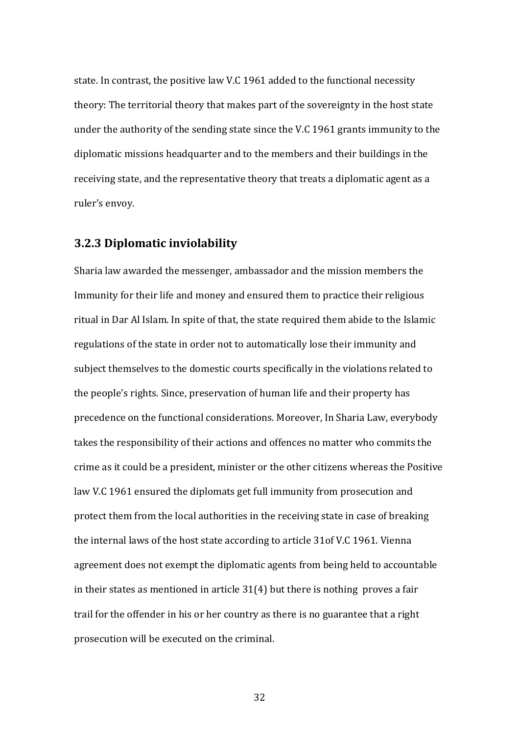state. In contrast, the positive law V.C 1961 added to the functional necessity theory: The territorial theory that makes part of the sovereignty in the host state under the authority of the sending state since the V.C 1961 grants immunity to the diplomatic missions headquarter and to the members and their buildings in the receiving state, and the representative theory that treats a diplomatic agent as a ruler's envoy.

#### **3.2.3 Diplomatic inviolability**

Sharia law awarded the messenger, ambassador and the mission members the Immunity for their life and money and ensured them to practice their religious ritual in Dar Al Islam. In spite of that, the state required them abide to the Islamic regulations of the state in order not to automatically lose their immunity and subject themselves to the domestic courts specifically in the violations related to the people's rights. Since, preservation of human life and their property has precedence on the functional considerations. Moreover, In Sharia Law, everybody takes the responsibility of their actions and offences no matter who commits the crime as it could be a president, minister or the other citizens whereas the Positive law V.C 1961 ensured the diplomats get full immunity from prosecution and protect them from the local authorities in the receiving state in case of breaking the internal laws of the host state according to article 31of V.C 1961. Vienna agreement does not exempt the diplomatic agents from being held to accountable in their states as mentioned in article 31(4) but there is nothing proves a fair trail for the offender in his or her country as there is no guarantee that a right prosecution will be executed on the criminal.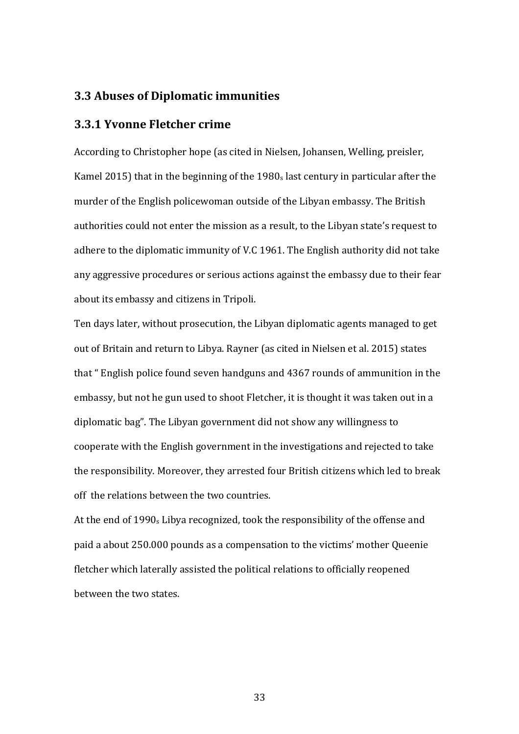### **3.3 Abuses of Diplomatic immunities**

# **3.3.1 Yvonne Fletcher crime**

According to Christopher hope (as cited in Nielsen, Johansen, Welling, preisler, Kamel 2015) that in the beginning of the 1980<sup>s</sup> last century in particular after the murder of the English policewoman outside of the Libyan embassy. The British authorities could not enter the mission as a result, to the Libyan state's request to adhere to the diplomatic immunity of V.C 1961. The English authority did not take any aggressive procedures or serious actions against the embassy due to their fear about its embassy and citizens in Tripoli.

Ten days later, without prosecution, the Libyan diplomatic agents managed to get out of Britain and return to Libya. Rayner (as cited in Nielsen et al. 2015) states that " English police found seven handguns and 4367 rounds of ammunition in the embassy, but not he gun used to shoot Fletcher, it is thought it was taken out in a diplomatic bag". The Libyan government did not show any willingness to cooperate with the English government in the investigations and rejected to take the responsibility. Moreover, they arrested four British citizens which led to break off the relations between the two countries.

At the end of 1990<sup>s</sup> Libya recognized, took the responsibility of the offense and paid a about 250.000 pounds as a compensation to the victims' mother Queenie fletcher which laterally assisted the political relations to officially reopened between the two states.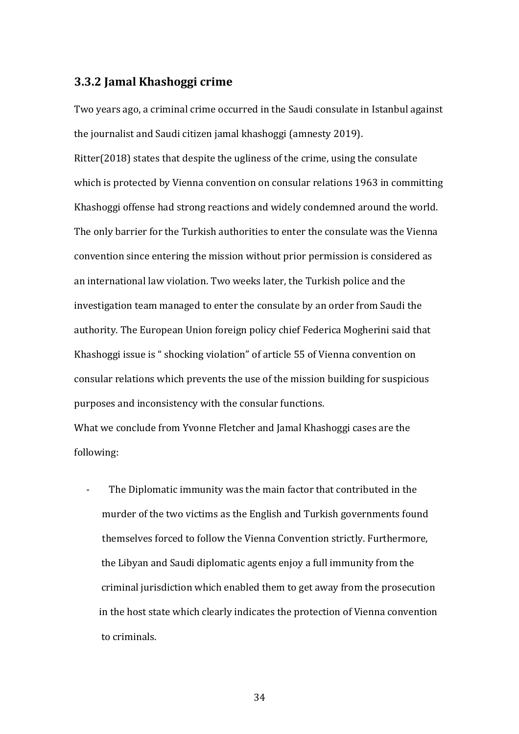### **3.3.2 Jamal Khashoggi crime**

Two years ago, a criminal crime occurred in the Saudi consulate in Istanbul against the journalist and Saudi citizen jamal khashoggi (amnesty 2019).

Ritter(2018) states that despite the ugliness of the crime, using the consulate which is protected by Vienna convention on consular relations 1963 in committing Khashoggi offense had strong reactions and widely condemned around the world. The only barrier for the Turkish authorities to enter the consulate was the Vienna convention since entering the mission without prior permission is considered as an international law violation. Two weeks later, the Turkish police and the investigation team managed to enter the consulate by an order from Saudi the authority. The European Union foreign policy chief Federica Mogherini said that Khashoggi issue is " shocking violation" of article 55 of Vienna convention on consular relations which prevents the use of the mission building for suspicious purposes and inconsistency with the consular functions.

What we conclude from Yvonne Fletcher and Jamal Khashoggi cases are the following:

The Diplomatic immunity was the main factor that contributed in the murder of the two victims as the English and Turkish governments found themselves forced to follow the Vienna Convention strictly. Furthermore, the Libyan and Saudi diplomatic agents enjoy a full immunity from the criminal jurisdiction which enabled them to get away from the prosecution in the host state which clearly indicates the protection of Vienna convention to criminals.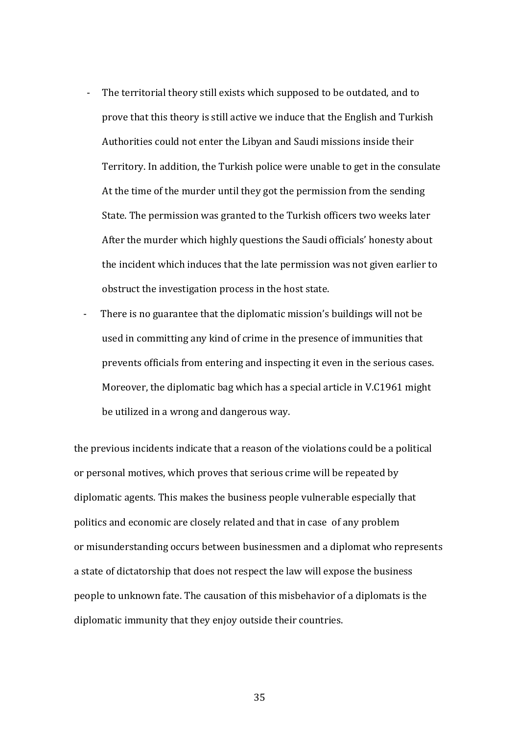- The territorial theory still exists which supposed to be outdated, and to prove that this theory is still active we induce that the English and Turkish Authorities could not enter the Libyan and Saudi missions inside their Territory. In addition, the Turkish police were unable to get in the consulate At the time of the murder until they got the permission from the sending State. The permission was granted to the Turkish officers two weeks later After the murder which highly questions the Saudi officials' honesty about the incident which induces that the late permission was not given earlier to obstruct the investigation process in the host state.
- There is no guarantee that the diplomatic mission's buildings will not be used in committing any kind of crime in the presence of immunities that prevents officials from entering and inspecting it even in the serious cases. Moreover, the diplomatic bag which has a special article in V.C1961 might be utilized in a wrong and dangerous way.

the previous incidents indicate that a reason of the violations could be a political or personal motives, which proves that serious crime will be repeated by diplomatic agents. This makes the business people vulnerable especially that politics and economic are closely related and that in case of any problem or misunderstanding occurs between businessmen and a diplomat who represents a state of dictatorship that does not respect the law will expose the business people to unknown fate. The causation of this misbehavior of a diplomats is the diplomatic immunity that they enjoy outside their countries.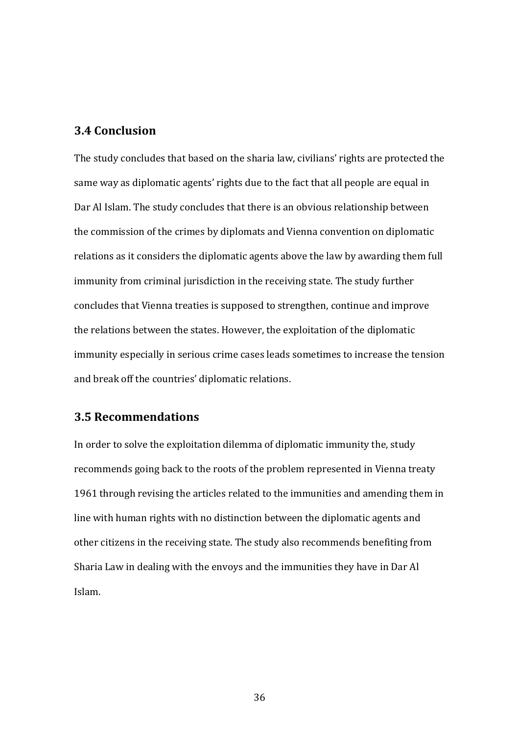# **3.4 Conclusion**

The study concludes that based on the sharia law, civilians' rights are protected the same way as diplomatic agents' rights due to the fact that all people are equal in Dar Al Islam. The study concludes that there is an obvious relationship between the commission of the crimes by diplomats and Vienna convention on diplomatic relations as it considers the diplomatic agents above the law by awarding them full immunity from criminal jurisdiction in the receiving state. The study further concludes that Vienna treaties is supposed to strengthen, continue and improve the relations between the states. However, the exploitation of the diplomatic immunity especially in serious crime cases leads sometimes to increase the tension and break off the countries' diplomatic relations.

# **3.5 Recommendations**

In order to solve the exploitation dilemma of diplomatic immunity the, study recommends going back to the roots of the problem represented in Vienna treaty 1961 through revising the articles related to the immunities and amending them in line with human rights with no distinction between the diplomatic agents and other citizens in the receiving state. The study also recommends benefiting from Sharia Law in dealing with the envoys and the immunities they have in Dar Al Islam.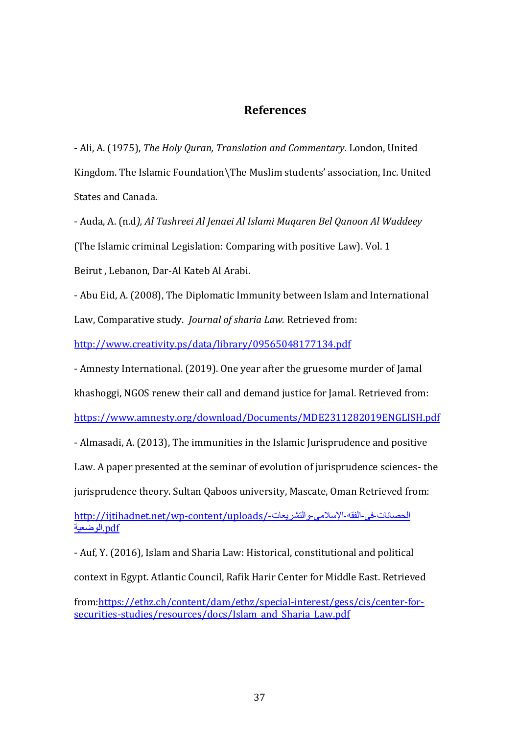# **References**

- Ali, A. (1975), *The Holy Quran, Translation and Commentary*. London, United Kingdom. The Islamic Foundation\The Muslim students' association, Inc. United States and Canada.

- Auda, A. (n.d*), Al Tashreei Al Jenaei Al Islami Muqaren Bel Qanoon Al Waddeey* (The Islamic criminal Legislation: Comparing with positive Law). Vol. 1

Beirut , Lebanon, Dar-Al Kateb Al Arabi.

- Abu Eid, A. (2008), The Diplomatic Immunity between Islam and International Law, Comparative study. *Journal of sharia Law.* Retrieved from:

<http://www.creativity.ps/data/library/09565048177134.pdf>

- Amnesty International. (2019). One year after the gruesome murder of Jamal

khashoggi, NGOS renew their call and demand justice for Jamal. Retrieved from:

<https://www.amnesty.org/download/Documents/MDE2311282019ENGLISH.pdf>

- Almasadi, A. (2013), The immunities in the Islamic Jurisprudence and positive

Law. A paper presented at the seminar of evolution of jurisprudence sciences- the

jurisprudence theory. Sultan Qaboos university, Mascate, Oman Retrieved from:

[http://ijtihadnet.net/wp-content/uploads/-](http://ijtihadnet.net/wp-content/uploads/الحصانات-في-الفقه-الإسلامي-والتشريعات-الوضعية.pdf)الحصانات-في-الفقه-الإسلامي-والتشريعات [pdf.](http://ijtihadnet.net/wp-content/uploads/الحصانات-في-الفقه-الإسلامي-والتشريعات-الوضعية.pdf)[الوضعية](http://ijtihadnet.net/wp-content/uploads/الحصانات-في-الفقه-الإسلامي-والتشريعات-الوضعية.pdf)

- Auf, Y. (2016), Islam and Sharia Law: Historical, constitutional and political

context in Egypt. Atlantic Council, Rafik Harir Center for Middle East. Retrieved

from[:https://ethz.ch/content/dam/ethz/special-interest/gess/cis/center-for](https://ethz.ch/content/dam/ethz/special-interest/gess/cis/center-for-securities-studies/resources/docs/Islam_and_Sharia_Law.pdf)[securities-studies/resources/docs/Islam\\_and\\_Sharia\\_Law.pdf](https://ethz.ch/content/dam/ethz/special-interest/gess/cis/center-for-securities-studies/resources/docs/Islam_and_Sharia_Law.pdf)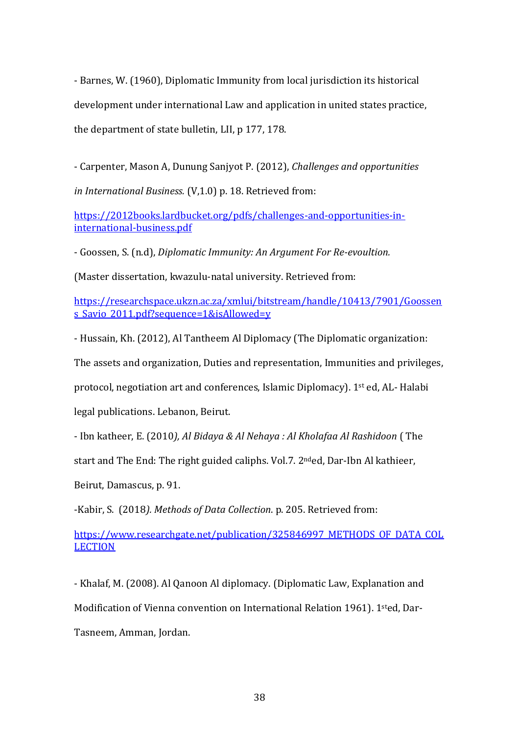- Barnes, W. (1960), Diplomatic Immunity from local jurisdiction its historical development under international Law and application in united states practice, the department of state bulletin, LII, p 177, 178.

- Carpenter, Mason A, Dunung Sanjyot P. (2012), *Challenges and opportunities in International Business.* (V,1.0) p. 18. Retrieved from:

[https://2012books.lardbucket.org/pdfs/challenges-and-opportunities-in](https://2012books.lardbucket.org/pdfs/challenges-and-opportunities-in-international-business.pdf)[international-business.pdf](https://2012books.lardbucket.org/pdfs/challenges-and-opportunities-in-international-business.pdf)

- Goossen, S. (n.d), *Diplomatic Immunity: An Argument For Re-evoultion.*

(Master dissertation, kwazulu-natal university. Retrieved from:

[https://researchspace.ukzn.ac.za/xmlui/bitstream/handle/10413/7901/Goossen](https://researchspace.ukzn.ac.za/xmlui/bitstream/handle/10413/7901/Goossens_Savio_2011.pdf?sequence=1&isAllowed=y) s Savio 2011.pdf?sequence=1&isAllowed=y

- Hussain, Kh. (2012), Al Tantheem Al Diplomacy (The Diplomatic organization:

The assets and organization, Duties and representation, Immunities and privileges,

protocol, negotiation art and conferences, Islamic Diplomacy). 1st ed, AL- Halabi

legal publications. Lebanon, Beirut.

- Ibn katheer, E. (2010*), Al Bidaya & Al Nehaya : Al Kholafaa Al Rashidoon* ( The

start and The End: The right guided caliphs. Vol.7. 2<sup>nd</sup>ed, Dar-Ibn Al kathieer,

Beirut, Damascus, p. 91.

-Kabir, S. (2018*). Methods of Data Collection*. p. 205. Retrieved from:

[https://www.researchgate.net/publication/325846997\\_METHODS\\_OF\\_DATA\\_COL](https://www.researchgate.net/publication/325846997_METHODS_OF_DATA_COLLECTION) **[LECTION](https://www.researchgate.net/publication/325846997_METHODS_OF_DATA_COLLECTION)** 

- Khalaf, M. (2008). Al Qanoon Al diplomacy. (Diplomatic Law, Explanation and

Modification of Vienna convention on International Relation 1961). 1sted, Dar-

Tasneem, Amman, Jordan.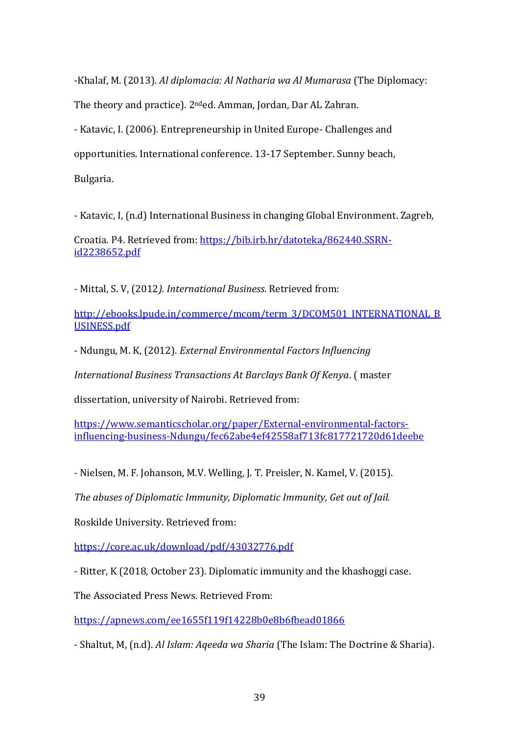-Khalaf, M. (2013). *Al diplomacia: Al Natharia wa Al Mumarasa* (The Diplomacy:

The theory and practice). 2nded. Amman, Jordan, Dar AL Zahran.

- Katavic, I. (2006). Entrepreneurship in United Europe- Challenges and

opportunities. International conference. 13-17 September. Sunny beach,

Bulgaria.

- Katavic, I, (n.d) International Business in changing Global Environment. Zagreb,

Croatia. P4. Retrieved from: [https://bib.irb.hr/datoteka/862440.SSRN](https://bib.irb.hr/datoteka/862440.SSRN-id2238652.pdf)[id2238652.pdf](https://bib.irb.hr/datoteka/862440.SSRN-id2238652.pdf)

- Mittal, S. V, (2012*). International Business*. Retrieved from:

[http://ebooks.lpude.in/commerce/mcom/term\\_3/DCOM501\\_INTERNATIONAL\\_B](http://ebooks.lpude.in/commerce/mcom/term_3/DCOM501_INTERNATIONAL_BUSINESS.pdf) [USINESS.pdf](http://ebooks.lpude.in/commerce/mcom/term_3/DCOM501_INTERNATIONAL_BUSINESS.pdf)

- Ndungu, M. K, (2012). *External Environmental Factors Influencing* 

*International Business Transactions At Barclays Bank Of Kenya*. ( master

dissertation, university of Nairobi. Retrieved from:

[https://www.semanticscholar.org/paper/External-environmental-factors](https://www.semanticscholar.org/paper/External-environmental-factors-influencing-business-Ndungu/fec62abe4ef42558af713fc817721720d61deebe)[influencing-business-Ndungu/fec62abe4ef42558af713fc817721720d61deebe](https://www.semanticscholar.org/paper/External-environmental-factors-influencing-business-Ndungu/fec62abe4ef42558af713fc817721720d61deebe)

- Nielsen, M. F. Johanson, M.V. Welling, J. T. Preisler, N. Kamel, V. (2015).

*The abuses of Diplomatic Immunity, Diplomatic Immunity, Get out of Jail.*

Roskilde University. Retrieved from:

<https://core.ac.uk/download/pdf/43032776.pdf>

- Ritter, K (2018, October 23). Diplomatic immunity and the khashoggi case.

The Associated Press News. Retrieved From:

<https://apnews.com/ee1655f119f14228b0e8b6fbead01866>

- Shaltut, M, (n.d). *Al Islam: Aqeeda wa Sharia* (The Islam: The Doctrine & Sharia).